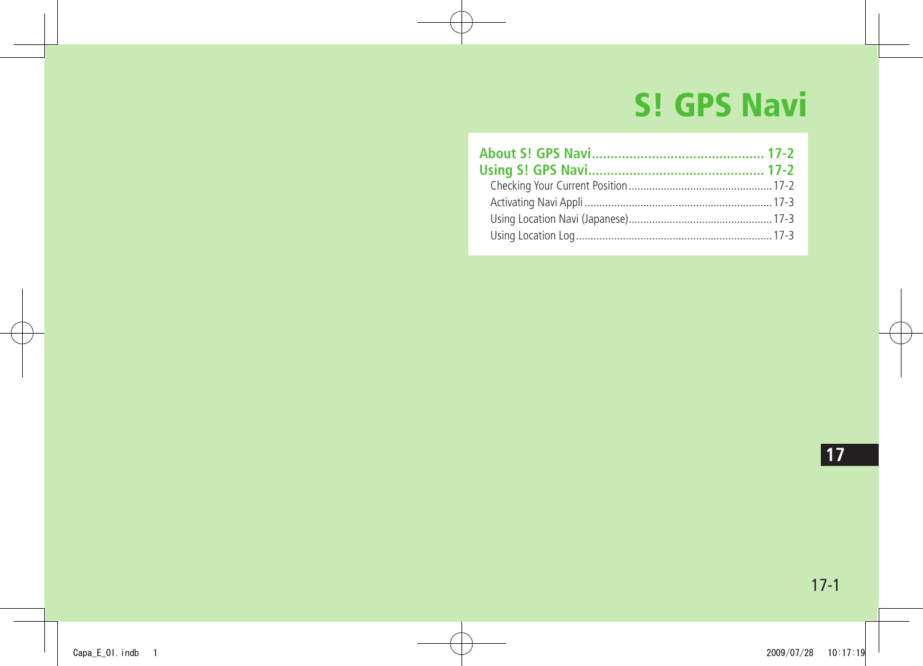# **S! GPS Navi**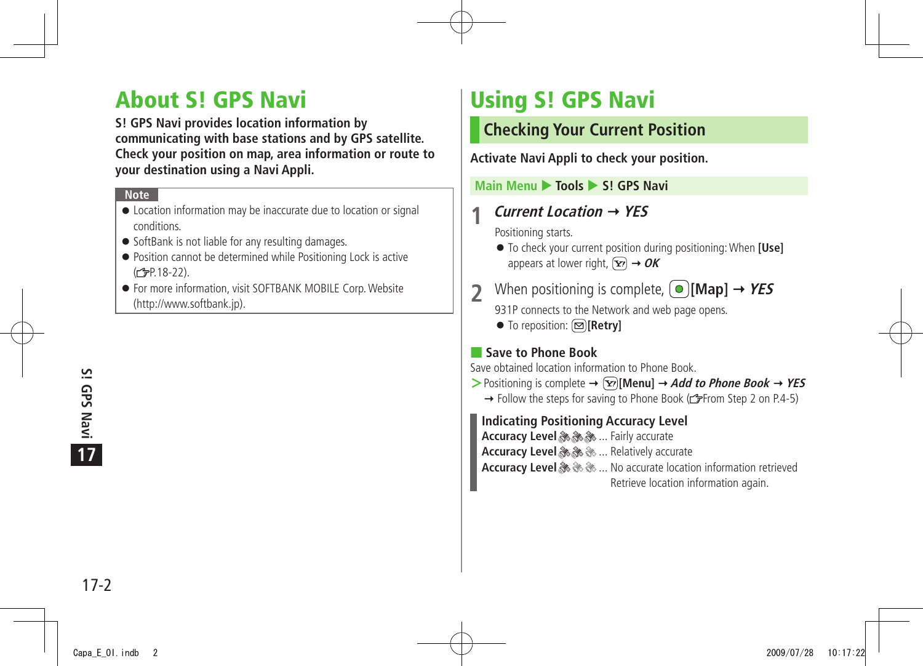# <span id="page-1-0"></span>**About S! GPS Navi**

**S! GPS Navi provides location information by communicating with base stations and by GPS satellite. Check your position on map, area information or route to your destination using a Navi Appli.**

#### **Note**

- Location information may be inaccurate due to location or signal conditions.
- SoftBank is not liable for any resulting damages.
- Position cannot be determined while Positioning Lock is active (<del>C</del>P.18-22).
- For more information, visit SOFTBANK MOBILE Corp. Website (http://www.softbank.jp).

# **Using S! GPS Navi**

### **Checking Your Current Position**

**Activate Navi Appli to check your position.**

**Main Menu > Tools > S! GPS Navi** 

### **1 Current Location YES**

Positioning starts.

- To check your current position during positioning: When **[Use]** appears at lower right,  $\boxed{\mathbf{x}}$   $\rightarrow$  **OK**
- When positioning is complete,  $\left( \bullet \right)$  [Map]  $\rightarrow$  *YES* 931P connects to the Network and web page opens.
	- To reposition: **[Retry]**

### ■ **Save to Phone Book**

Save obtained location information to Phone Book.

- $\triangleright$  Positioning is complete  $\rightarrow \widehat{X}$  [Menu]  $\rightarrow$  *Add to Phone Book*  $\rightarrow$  *YES* 
	- $\rightarrow$  Follow the steps for saving to Phone Book ( $\rightarrow$  From Step 2 on P.4-5)

**Indicating Positioning Accuracy Level**

**Accuracy Level & & ...** Fairly accurate **Accuracy Level & & ... Relatively accurate** 

**Accuracy Level & & & ...** No accurate location information retrieved Retrieve location information again.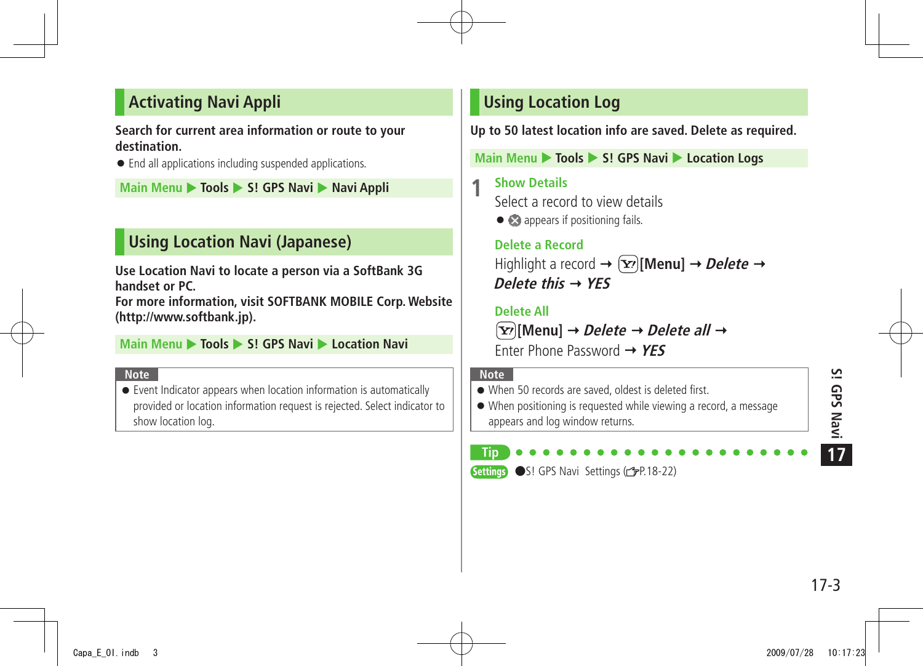# <span id="page-2-0"></span>**Activating Navi Appli**

#### **Search for current area information or route to your destination.**

● End all applications including suspended applications.

**Main Menu ▶ Tools ▶ S! GPS Navi ▶ Navi Appli** 

# **Using Location Navi (Japanese)**

**Use Location Navi to locate a person via a SoftBank 3G handset or PC.** 

**For more information, visit SOFTBANK MOBILE Corp. Website (http://www.softbank.jp).**

**Main Menu > Tools > S! GPS Navi > Location Navi** 

#### **Note**

● Event Indicator appears when location information is automatically provided or location information request is rejected. Select indicator to show location log.

### **Using Location Log**

**Up to 50 latest location info are saved. Delete as required.**

**Main Menu > Tools > S! GPS Navi > Location Logs** 

**1** Show Details<br>
Select a record to view details

● appears if positioning fails.

 **Delete a Record** Highlight a record  $\rightarrow$  [**x**<sup>2</sup>][**Menu**]  $\rightarrow$  *Delete*  $\rightarrow$ **Delete this YES**

#### **Delete All**

**[Menu] Delete Delete all** Enter Phone Password **YES**

#### **Note**

● When 50 records are saved, oldest is deleted first.

● When positioning is requested while viewing a record, a message appears and log window returns.

# **Tip**

Settings ●S! GPS Navi Settings (repr. 18-22)